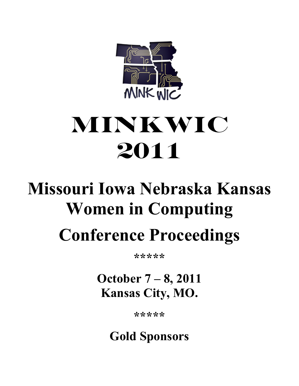

# **MiNKWIC 2011**

# **Missouri Iowa Nebraska Kansas Women in Computing Conference Proceedings**

**\*\*\*\*\***

**October 7 – 8, 2011 Kansas City, MO.**

**\*\*\*\*\*** 

**Gold Sponsors**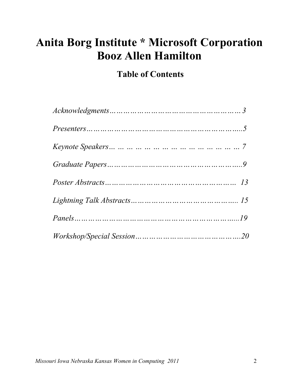# **Anita Borg Institute \* Microsoft Corporation Booz Allen Hamilton**

# **Table of Contents**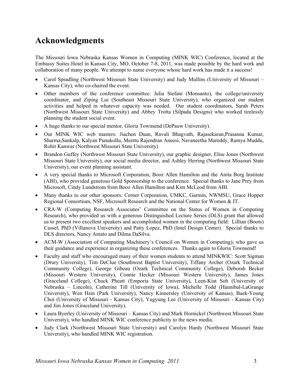# **Acknowledgments**

The Missouri Iowa Nebraska Kansas Women in Computing (MINK WIC) Conference, located at the Embassy Suites Hotel in Kansas City, MO, October 7-8, 2011, was made possible by the hard work and collaboration of many people. We attempt to name everyone whose hard work has made it a success!

- Carol Spradling (Northwest Missouri State University) and Judy Mullins (University of Missouri Kansas City), who co-chaired the event.
- Other members of the conference committee: Julia Stefani (Monsanto), the college/university coordinator, and Ziping Lui (Southeast Missouri State University), who organized our student activities and helped in whatever capacity was needed. Our student coordinators, Sarah Peters (Northwest Missouri State University) and Abbey Trotta (Silpada Designs) who worked tirelessly planning the student social event.
- A huge thanks to our special mentor, Gloria Townsend (DePauw University).
- Our MINK WIC web masters: Jiachen Duan, Ravali Bhagvath, Rajasekaran,Prasanna Kumar, Sharma,Sankalp, Kalyan Punukollu, Meettu Rajendran Aneesi, Navaneetha Mareddy, Ramya Muddu, Rohit Kanwar (Northwest Missouri State University)
- Brandon Guffey (Northwest Missouri State University), our graphic designer, Elise Jones (Northwest Missouri State University), our social media director, and Ashley Herring (Northwest Missouri State University), our event planning assistant.
- A very special thanks to Microsoft Corporation, Booz Allen Hamilton and the Anita Borg Institute (ABI), who provided generous Gold Sponsorship to the conference. Special thanks to Jane Prey from Microsoft, Cindy Lundstrom from Booz Allen Hamilton and Kim McLeod from ABI.
- Many thanks to our other sponsors: Cerner Corporation, UMKC, Garmin, NWMSU, Grace Hopper Regional Consortium, NSF, Microsoft Research and the National Center for Women & IT.
- CRA-W (Computing Research Associates' Committee on the Status of Women in Computing Research), who provided us with a generous Distinguished Lecture Series (DLS) grant that allowed us to present two excellent speakers and accomplished women in the computing field: Lillian (Boots) Cassel, PhD (Villanova University) and Patty Lopez, PhD (Intel Design Center). Special thanks to DLS directors, Nancy Amato and Dilma DaSilva.
- ACM-W (Association of Computing Machinery's Council on Women in Computing), who gave us their guidance and experience in organizing these conferences. Thanks again to Gloria Townsend!
- Faculty and staff who encouraged many of their women students to attend MINKWIC: Scott Sigman (Drury University), Tim DeClue (Southwest Baptist University), Tiffany Archer (Ozark Technical Community College), George Gibeau (Ozark Technical Community College), Deborah Becker (Missouri Western University), Connie Hecker (Missouri Western University), James Jones (Graceland College), Chuck Pheatt (Emporia State University), Leen-Kiat Soh (University of Nebraska – Lincoln), Catherine Till (University of Iowa), Michelle Todd (Hannibal-LaGrange University), Wen Hsin (Park University), Nancy Kinnersley (University of Kansas), Baek-Young Choi (University of Missouri - Kansas City), Yugyung Lee (University of Missouri - Kansas City) and Jim Jones (Graceland University).
- Laura Byerley (University of Missouri Kansas City) and Mark Hornickel (Northwest Missouri State University), who handled MINK WIC conference publicity to the news media.
- Judy Clark (Northwest Missouri State University) and Carolyn Hardy (Northwest Missouri State University), who handled MINK WIC registration.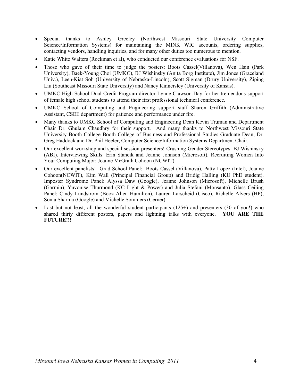- Special thanks to Ashley Greeley (Northwest Missouri State University Computer Science/Information Systems) for maintaining the MINK WIC accounts, ordering supplies, contacting vendors, handling inquiries, and for many other duties too numerous to mention.
- Katie White Walters (Rockman et al), who conducted our conference evaluations for NSF.
- Those who gave of their time to judge the posters: Boots Cassel(Villanova), Wen Hsin (Park University), Baek-Young Choi (UMKC), BJ Wishinsky (Anita Borg Institute), Jim Jones (Graceland Univ.), Leen-Kiat Soh (University of Nebraska-Lincoln), Scott Sigman (Drury University), Ziping Liu (Southeast Missouri State University) and Nancy Kinnersley (University of Kansas).
- UMKC High School Dual Credit Program director Lynne Clawson-Day for her tremendous support of female high school students to attend their first professional technical conference.
- UMKC School of Computing and Engineering support staff Sharon Griffith (Administrative Assistant, CSEE department) for patience and performance under fire.
- Many thanks to UMKC School of Computing and Engineering Dean Kevin Truman and Department Chair Dr. Ghulam Chaudhry for their support. And many thanks to Northwest Missouri State University Booth College Booth College of Business and Professional Studies Graduate Dean, Dr. Greg Haddock and Dr. Phil Heeler, Computer Science/Information Systems Department Chair.
- Our excellent workshop and special session presenters! Crushing Gender Stereotypes: BJ Wishinsky (ABI). Interviewing Skills: Erin Stancik and Jeanne Johnson (Microsoft). Recruiting Women Into Your Computing Major: Joanne McGrath Cohoon (NCWIT).
- Our excellent panelists! Grad School Panel: Boots Cassel (Villanova), Patty Lopez (Intel), Joanne Cohoon(NCWIT), Kim Wall (Principal Financial Group) and Bridig Halling (KU PhD student). Imposter Syndrome Panel: Alyssa Daw (Google), Jeanne Johnson (Microsoft), Michelle Brush (Garmin), Yuvonise Thurmond (KC Light & Power) and Julia Stefani (Monsanto). Glass Ceiling Panel: Cindy Lundstrom (Booz Allen Hamilton), Lauren Larscheid (Cisco), Richelle Alvers (HP), Sonia Sharma (Google) and Michelle Sommers (Cerner).
- Last but not least, all the wonderful student participants  $(125+)$  and presenters  $(30 \text{ of you!})$  who shared thirty different posters, papers and lightning talks with everyone. **YOU ARE THE FUTURE!!!**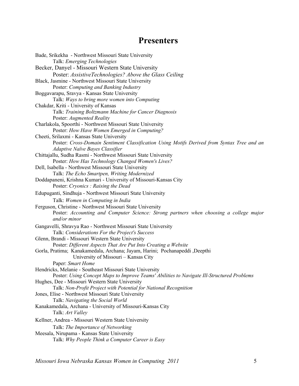# **Presenters**

| Bade, Srikekha - Northwest Missouri State University                                                                                                |
|-----------------------------------------------------------------------------------------------------------------------------------------------------|
| Talk: Emerging Technologies<br>Becker, Danyel - Missouri Western State University                                                                   |
| Poster: AssistiveTechnologies? Above the Glass Ceiling                                                                                              |
| Black, Jasmine - Northwest Missouri State University                                                                                                |
| Poster: Computing and Banking Industry                                                                                                              |
| Boggavarapu, Sravya - Kansas State University                                                                                                       |
| Talk: Ways to bring more women into Computing                                                                                                       |
| Chakdar, Kriti - University of Kansas                                                                                                               |
| Talk: Training Boltzmann Machine for Cancer Diagnosis                                                                                               |
| Poster: Augmented Reality                                                                                                                           |
| Charlakola, Spoorthi - Northwest Missouri State University                                                                                          |
| Poster: How Have Women Emerged in Computing?                                                                                                        |
| Cheeti, Srilaxmi - Kansas State University                                                                                                          |
| Poster: Cross-Domain Sentiment Classification Using Motifs Derived from Syntax Tree and an                                                          |
| Adaptive Naïve Bayes Classifier                                                                                                                     |
| Chittajallu, Sudha Rasmi - Northwest Missouri State University                                                                                      |
| Poster: How Has Technology Changed Women's Lives?                                                                                                   |
| Dell, Isabella - Northwest Missouri State University                                                                                                |
| Talk: The Echo Smartpen, Writing Modernized<br>Doddapaneni, Krishna Kumari - University of Missouri-Kansas City                                     |
| Poster: Cryonics : Raising the Dead                                                                                                                 |
|                                                                                                                                                     |
| Edupuganti, Sindhuja - Northwest Missouri State University                                                                                          |
| Talk: Women in Computing in India                                                                                                                   |
| Ferguson, Christine - Northwest Missouri State University<br>Poster: Accounting and Computer Science: Strong partners when choosing a college major |
| and/or minor                                                                                                                                        |
| Gangavelli, Shravya Rao - Northwest Missouri State University                                                                                       |
| Talk: Considerations For the Project's Success                                                                                                      |
| Glenn, Brandi - Missouri Western State University                                                                                                   |
| Poster: Different Aspects That Are Put Into Creating a Website                                                                                      |
| Gorla, Pratima; Kanakamedala, Archana; Jayam, Harini; Pochanapeddi ,Deepthi                                                                         |
| University of Missouri - Kansas City                                                                                                                |
| Paper: Smart Home                                                                                                                                   |
| Hendricks, Melanie - Southeast Missouri State University                                                                                            |
| Poster: Using Concept Maps to Improve Teams' Abilities to Navigate Ill-Structured Problems                                                          |
| Hughes, Dee - Missouri Western State University                                                                                                     |
| Talk: Non-Profit Project with Potential for National Recognition                                                                                    |
| Jones, Elise - Northwest Missouri State University                                                                                                  |
| Talk: Navigating the Social World<br>Kanakamedala, Archana - University of Missouri-Kansas City                                                     |
| Talk: Art Valley                                                                                                                                    |
| Kellner, Andrea - Missouri Western State University                                                                                                 |
|                                                                                                                                                     |
| Talk: The Importance of Networking<br>Meesala, Nirupama - Kansas State University                                                                   |
| Talk: Why People Think a Computer Career is Easy                                                                                                    |
|                                                                                                                                                     |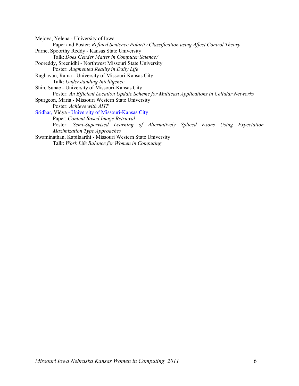Mejova, Yelena - University of Iowa Paper and Poster: *Refined Sentence Polarity Classification using Affect Control Theory* Parne, Spoorthy Reddy - Kansas State University Talk: *Does Gender Matter in Computer Science?* Pooreddy, Sreenidhi - Northwest Missouri State University Poster: *Augmented Reality in Daily Life* Raghavan, Rama - University of Missouri-Kansas City Talk: *Understanding Intelligence* Shin, Sunae - University of Missouri-Kansas City Poster: *An Efficient Location Update Scheme for Multicast Applications in Cellular Networks* Spurgeon, Maria - Missouri Western State University Poster: *Achieve with AITP* Sridhar, Vidya - University of Missouri-Kansas City Paper: *Content Based Image Retrieval* Poster: *Semi-Supervised Learning of Alternatively Spliced Exons Using Expectation Maximization Type Approaches* Swaminathan, Kapilaarthi - Missouri Western State University Talk: *Work Life Balance for Women in Computing*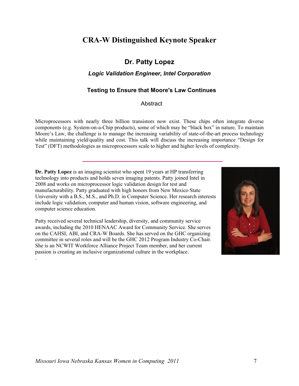## **CRA-W Distinguished Keynote Speaker**

### **Dr. Patty Lopez**

#### *Logic Validation Engineer, Intel Corporation*

#### **Testing to Ensure that Moore's Law Continues**

#### **Abstract**

Microprocessors with nearly three billion transistors now exist. These chips often integrate diverse components (e.g. System-on-a-Chip products), some of which may be "black box" in nature. To maintain Moore's Law, the challenge is to manage the increasing variability of state-of-the-art process technology while maintaining yield/quality and cost. This talk will discuss the increasing importance "Design for Test" (DFT) methodologies as microprocessors scale to higher and higher levels of complexity.

**Dr. Patty Lopez** is an imaging scientist who spent 19 years at HP transferring technology into products and holds seven imaging patents. Patty joined Intel in 2008 and works on microprocessor logic validation design for test and manufacturability. Patty graduated with high honors from New Mexico State University with a B.S., M.S., and Ph.D. in Computer Science. Her research interests include logic validation, computer and human vision, software engineering, and computer science education.

 **\_\_\_\_\_\_\_\_\_\_\_\_\_\_\_\_\_\_\_\_\_\_\_\_\_\_\_\_\_\_\_\_\_\_\_\_\_\_\_\_\_\_\_**

Patty received several technical leadership, diversity, and community service awards, including the 2010 HENAAC Award for Community Service. She serves on the CAHSI, ABI, and CRA-W Boards. She has served on the GHC organizing committee in several roles and will be the GHC 2012 Program Industry Co-Chair. She is an NCWIT Workforce Alliance Project Team member, and her current passion is creating an inclusive organizational culture in the workplace.



.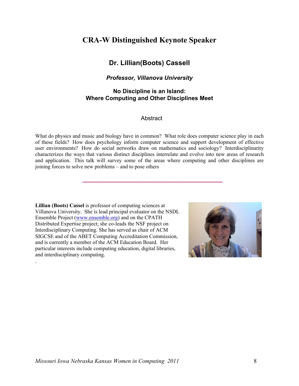## **CRA-W Distinguished Keynote Speaker**

### **Dr. Lillian(Boots) Cassell**

#### *Professor, Villanova University*

#### **No Discipline is an Island: Where Computing and Other Disciplines Meet**

#### Abstract

What do physics and music and biology have in common? What role does computer science play in each of these fields? How does psychology inform computer science and support development of effective user environments? How do social networks draw on mathematics and sociology? Interdisciplinarity characterizes the ways that various distinct disciplines interrelate and evolve into new areas of research and application. This talk will survey some of the areas where computing and other disciplines are joining forces to solve new problems – and to pose others

 **\_\_\_\_\_\_\_\_\_\_\_\_\_\_\_\_\_\_\_\_\_\_\_\_\_\_\_\_\_\_\_\_\_\_\_\_\_\_\_\_\_\_\_**

**Lillian (Boots) Cassel** is professor of computing sciences at Villanova University. She is lead principal evaluator on the NSDL Ensemble Project (www.ensemble.org) and on the CPATH Distributed Expertise project; she co-leads the NSF project on Interdisciplinary Computing. She has served as chair of ACM SIGCSE and of the ABET Computing Accreditation Commission, and is currently a member of the ACM Education Board. Her particular interests include computing education, digital libraries, and interdisciplinary computing.

.

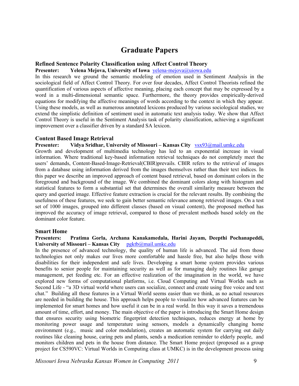## **Graduate Papers**

#### **Refined Sentence Polarity Classification using Affect Control Theory**

**Presenter: Yelena Mejova, University of Iowa** yelena-mejova@uiowa.edu

In this research we ground the semantic modeling of emotion used in Sentiment Analysis in the sociological field of Affect Control Theory. For over four decades, Affect Control Theorists refined the quantification of various aspects of affective meaning, placing each concept that may be expressed by a word in a multi-dimensional semantic space. Furthermore, the theory provides empirically-derived equations for modifying the affective meanings of words according to the context in which they appear. Using these models, as well as numerous annotated lexicons produced by various sociological studies, we extend the simplistic definition of sentiment used in automatic text analysis today. We show that Affect Control Theory is useful in the Sentiment Analysis task of polarity classification, achieving a significant improvement over a classifier driven by a standard SA lexicon.

#### **Content Based Image Retrieval**

#### **Presenter: Vidya Sridhar, University of Missouri – Kansas City** vsx93@mail.umkc.edu

Growth and development of multimedia technology has led to an exponential increase in visual information. Where traditional key-based information retrieval techniques do not completely meet the users' demands, Content-Based-Image-Retrieval(CBIR)prevails. CBIR refers to the retrieval of images from a database using information derived from the images themselves rather than their text indices. In this paper we describe an improved approach of content based retrieval, based on dominant colors in the foreground and background of the image. We combined the dominant colors along with histogram and statistical features to form a substantial set that determines the overall similarity measure between the query and queried image. Effective feature extraction is crucial for the relevant results. By combining the usefulness of these features, we seek to gain better semantic relevance among retrieved images. On a test set of 1000 images, grouped into different classes (based on visual content), the proposed method has improved the accuracy of image retrieval, compared to those of prevalent methods based solely on the dominant color feature.

#### **Smart Home**

#### **Presenters: Pratima Gorla, Archana Kanakamedala, Harini Jayam, Deepthi Pochanapeddi,**  University of Missouri – Kansas City pgktb@mail.umkc.edu

In the presence of advanced technology, the quality of human life is advanced. The aid from those technologies not only makes our lives more comfortable and hassle free, but also helps those with disabilities for their independent and safe lives. Developing a smart home system provides various benefits to senior people for maintaining security as well as for managing daily routines like garage management, pet feeding etc. For an effective realization of the imagination in the world, we have explored new forms of computational platforms, i.e. Cloud Computing and Virtual Worlds such as Second Life - "a 3D virtual world where users can socialize, connect and create using free voice and text chat." Building all these features in a Virtual World seems easier than we think, as no actual resources are needed in building the house. This approach helps people to visualize how advanced features can be implemented for smart homes and how useful it can be in a real world. In this way it saves a tremendous amount of time, effort, and money. The main objective of the paper is introducing the Smart Home design that ensures security using biometric fingerprint detection techniques, reduces energy at home by monitoring power usage and temperature using sensors, models a dynamically changing home environment (e.g., music and color modulation), creates an automatic system for carrying out daily routines like cleaning house, caring pets and plants, sends a medication reminder to elderly people, and monitors children and pets in the house from distance. The Smart Home project (proposed as a group project for CS590VC: Virtual Worlds in Computing class at UMKC) is in the development process using

*Missouri Iowa Nebraska Kansas Women in Computing 2011* 9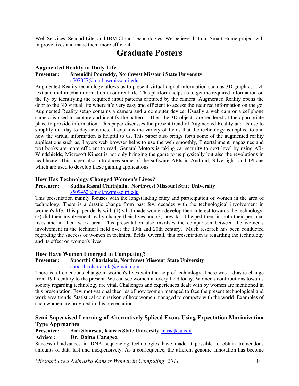Web Services, Second Life, and IBM Cloud Technologies. We believe that our Smart Home project will improve lives and make them more efficient.

## **Graduate Posters**

#### **Augmented Reality in Daily Life**

#### **Presenter: Sreenidhi Pooreddy, Northwest Missouri State University**

#### s507057@mail.nwmissouri.edu

Augmented Reality technology allows us to present virtual digital information such as 3D graphics, rich text and multimedia information in our real life. This platform helps us to get the required information on the fly by identifying the required input patterns captured by the camera. Augmented Reality opens the door to the 3D virtual life where it's very easy and efficient to access the required information on the go. Augmented Reality setup contains a camera and a computer device. Usually a web cam or a cellphone camera is used to capture and identify the patterns. Then the 3D objects are rendered at the appropriate place to provide information. This paper discusses the present trend of Augmented Reality and its use to simplify our day to day activities. It explains the variety of fields that the technology is applied to and how the virtual information is helpful to us. This paper also brings forth some of the augmented reality applications such as, Layers web browser helps to use the web smoothly, Entertainment magazines and text books are more efficient to read, General Motors is taking car security to next level by using AR-Windshields, Microsoft Kinect is not only bringing the game to us physically but also the revolutions in healthcare. This paper also introduces some of the software APIs in Android, Silverlight, and IPhone which are used to develop these gaming applications.

#### **How Has Technology Changed Women's Lives?**

#### **Presenter: Sudha Rasmi Chittajallu, Northwest Missouri State University**

#### s509462@mail.nwmissouri.edu

This presentation mainly focuses with the longstanding entry and participation of women in the area of technology. There is a drastic change from past few decades with the technological involvement in women's life. This paper deals with (1) what made women develop their interest towards the technology, (2) did their involvement really change their lives and (3) how far it helped them in both their personal lives and in their work area. This presentation also involves the comparison between the women's involvement in the technical field over the 19th and 20th century. Much research has been conducted regarding the success of women in technical fields. Overall, this presentation is regarding the technology and its effect on women's lives.

#### **How Have Women Emerged in Computing?**

#### **Presenter: Spoorthi Charlakola, Northwest Missouri State University**  spoorthi.charlakola@gmail.com

There is a tremendous change in women's lives with the help of technology. There was a drastic change from 19th century to the present. We can see women in every field today. Women's contributions towards society regarding technology are vital. Challenges and experiences dealt with by women are mentioned in this presentation. Few motivational theories of how women managed to face the present technological and work area trends. Statistical comparison of how women managed to compete with the world. Examples of such women are provided in this presentation.

#### **Semi-Supervised Learning of Alternatively Spliced Exons Using Expectation Maximization Type Approaches**

#### Presenter: **Ana Stanescu, Kansas State University anas** @ksu.edu **Advisor: Dr. Doina Caragea**

Successful advances in DNA sequencing technologies have made it possible to obtain tremendous amounts of data fast and inexpensively. As a consequence, the afferent genome annotation has become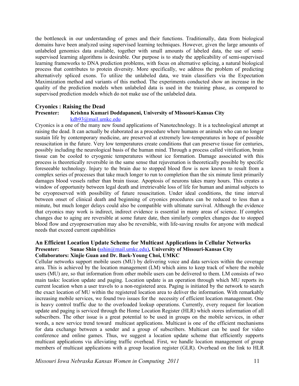the bottleneck in our understanding of genes and their functions. Traditionally, data from biological domains have been analyzed using supervised learning techniques. However, given the large amounts of unlabeled genomics data available, together with small amounts of labeled data, the use of semisupervised learning algorithms is desirable. Our purpose is to study the applicability of semi-supervised learning frameworks to DNA prediction problems, with focus on alternative splicing, a natural biological process that contributes to protein diversity. More specifically, we address the problem of predicting alternatively spliced exons. To utilize the unlabeled data, we train classifiers via the Expectation Maximization method and variants of this method. The experiments conducted show an increase in the quality of the prediction models when unlabeled data is used in the training phase, as compared to supervised prediction models which do not make use of the unlabeled data.

#### **Cryonics : Raising the Dead**

#### **Presenter: Krishna Kumari Doddapaneni, University of Missouri-Kansas City**

#### kdb93@mail.umkc.edu

Cryonics is a one of the many new found applications of Nanotechnology. It is a technological attempt at raising the dead. It can actually be elaborated as a procedure where humans or animals who can no longer sustain life by contemporary medicine, are preserved at extremely low-temperatures in hope of possible resuscitation in the future. Very low temperatures create conditions that can preserve tissue for centuries, possibly including the neurological basis of the human mind. Through a process called vitrification, brain tissue can be cooled to cryogenic temperatures without ice formation. Damage associated with this process is theoretically reversible in the same sense that rejuvenation is theoretically possible by specific foreseeable technology. Injury to the brain due to stopped blood flow is now known to result from a complex series of processes that take much longer to run to completion than the six minute limit primarily damages blood vessels rather than brain tissue. Apoptosis of neurons takes many hours. This creates a window of opportunity between legal death and irretrievable loss of life for human and animal subjects to be cryopreserved with possibility of future resuscitation. Under ideal conditions, the time interval between onset of clinical death and beginning of cryonics procedures can be reduced to less than a minute, but much longer delays could also be compatible with ultimate survival. Although the evidence that cryonics may work is indirect, indirect evidence is essential in many areas of science. If complex changes due to aging are reversible at some future date, then similarly complex changes due to stopped blood flow and cryopreservation may also be reversible, with life-saving results for anyone with medical needs that exceed current capabilities

#### **An Efficient Location Update Scheme for Multicast Applications in Cellular Networks Presenter: Sunae Shin (**sshin@mail.umkc.edu)**, University of Missouri-Kansas City Collaborators: Xinjie Guan and Dr. Baek-Young Choi, UMKC**

Cellular networks support mobile users (MU) by delivering voice and data services within the coverage area. This is achieved by the location management (LM) which aims to keep track of where the mobile users (MU) are, so that information from other mobile users can be delivered to them. LM consists of two main tasks: location update and paging. Location update is an operation through which MU reports its current location when a user travels to a non-registered area. Paging is initiated by the network to search the exact location of MU within the registered location area to deliver the information. With remarkably increasing mobile services, we found two issues for the necessity of efficient location management. One is heavy control traffic due to the overloaded lookup operations. Currently, every request for location update and paging is serviced through the Home Location Register (HLR) which stores information of all subscribers. The other issue is a great potential to be used in groups on the mobile services, in other words, a new service trend toward multicast applications. Multicast is one of the efficient mechanisms for data exchange between a sender and a group of subscribers. Multicast can be used for video conference and online games. Thus, we suggest a location update scheme that efficiently supports multicast applications via alleviating traffic overhead. First, we handle location management of group members of multicast applications with a group location register (GLR). Overhead on the link to HLR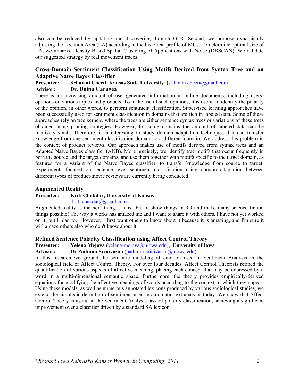also can be reduced by updating and discovering through GLR. Second, we propose dynamically adjusting the Location Area (LA) according to the historical profile of MUs. To determine optimal size of LA, we improve Density Based Spatial Clustering of Applications with Noise (DBSCAN). We validate our suggested strategy by real movement traces.

#### **Cross-Domain Sentiment Classification Using Motifs Derived from Syntax Tree and an Adaptive Naïve Bayes Classifier**

#### **Presenter: Srilaxmi Cheeti, Kansas State University (**srilaxmi.cheeti@gmail.com) **Advisor: Dr. Doina Caragea**

There is an increasing amount of user-generated information in online documents, including users' opinions on various topics and products. To make use of such opinions, it is useful to identify the polarity of the opinion, in other words, to perform sentiment classification. Supervised learning approaches have been successfully used for sentiment classification in domains that are rich in labeled data. Some of these approaches rely on tree kernels, where the trees are either sentence syntax trees or variations of these trees obtained using pruning strategies. However, for some domains the amount of labeled data can be relatively small. Therefore, it is interesting to study domain adaptation techniques that can transfer knowledge from one sentiment classification domain to a different domain. We address this problem in the context of product reviews. Our approach makes use of motifs derived from syntax trees and an Adapted Naïve Bayes classifier (ANB). More precisely, we identify tree motifs that occur frequently in both the source and the target domains, and use them together with motifs specific to the target domain, as features for a variant of the Naïve Bayes classifier, to transfer knowledge from source to target. Experiments focused on sentence level sentiment classification using domain adaptation between different types of product/movie reviews are currently being conducted.

#### **Augmented Reality**

#### **Presenter: Kriti Chakdar, University of Kansas**

kriti.chakdar@gmail.com

Augmented reality is the next thing.... It is able to show things in 3D and make many science fiction things possible! The way it works has amazed me and I want to share it with others. I have not yet worked on it, but I plan to. However, I first want others to know about it because it is amazing, and I'm sure it will amaze others also who don't know about it.

#### **Refined Sentence Polarity Classification using Affect Control Theory**

#### **Presenter: Yelena Mejova (**yelena-mejova@uiowa.edu)**, University of Iowa**

**Advisor: Dr Padmini Srinivasan** (padmini-srinivasan@uiowa.edu)

In this research we ground the semantic modeling of emotion used in Sentiment Analysis in the sociological field of Affect Control Theory. For over four decades, Affect Control Theorists refined the quantification of various aspects of affective meaning, placing each concept that may be expressed by a word in a multi-dimensional semantic space. Furthermore, the theory provides empirically-derived equations for modifying the affective meanings of words according to the context in which they appear. Using these models, as well as numerous annotated lexicons produced by various sociological studies, we extend the simplistic definition of sentiment used in automatic text analysis today. We show that Affect Control Theory is useful in the Sentiment Analysis task of polarity classification, achieving a significant improvement over a classifier driven by a standard SA lexicon.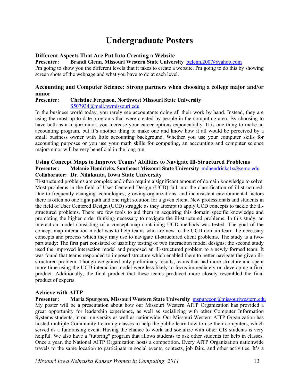# **Undergraduate Posters**

#### **Different Aspects That Are Put Into Creating a Website**

**Presenter: Brandi Glenn, Missouri Western State University** bglenn.2007@yahoo.com

I'm going to show you the different levels that it takes to create a website. I'm going to do this by showing screen shots of the webpage and what you have to do at each level.

#### **Accounting and Computer Science: Strong partners when choosing a college major and/or minor**

## **Presenter: Christine Ferguson, Northwest Missouri State University**

S507934@mail.nwmissouri.edu

In the business world today, you rarely see accountants doing all their work by hand. Instead, they are using the most up to date programs that were created by people in the computing area. By choosing to have both as a major/minor, you increase your career options exponentially. It is one thing to make an accounting program, but it's another thing to make one and know how it all would be perceived by a small business owner with little accounting background. Whether you use your computer skills for accounting purposes or you use your math skills for computing, an accounting and computer science major/minor will be very beneficial in the long run.

#### **Using Concept Maps to Improve Teams' Abilities to Navigate Ill-Structured Problems Presenter: Melanie Hendricks, Southeast Missouri State University** mdhendricks1s@semo.edu **Collaborator: Dr. Nilakanta, Iowa State University**

Ill-structured problems are complex and often require a significant amount of domain knowledge to solve. Most problems in the field of User-Centered Design (UCD) fall into the classification of ill-structured. Due to frequently changing technologies, growing organizations, and inconsistent environmental factors there is often no one right path and one right solution for a given client. New professionals and students in the field of User Centered Design (UCD) struggle as they attempt to apply UCD concepts to tackle the illstructured problems. There are few tools to aid them in acquiring this domain specific knowledge and promoting the higher order thinking necessary to navigate the ill-structured problems. In this study, an interaction model consisting of a concept map containing UCD methods was tested. The goal of the concept map interaction model was to help teams who are new to the UCD domain learn the necessary concepts and process which they may use to navigate ill-structured client problems. The study is a twopart study: The first part consisted of usability testing of two interaction model designs; the second study used the improved interaction model and proposed an ill-structured problem to a newly formed team. It was found that teams responded to imposed structure which enabled them to better navigate the given illstructured problem. Though we gained only preliminary results, teams that had more structure and spent more time using the UCD interaction model were less likely to focus immediately on developing a final product. Additionally, the final product that these teams produced more closely resembled the final product of experts.

#### **Achieve with AITP**

**Presenter: Maria Spurgeon, Missouri Western State University** mspurgeon@missouriwestern.edu My poster will be a presentation about how our Missouri Western AITP Organization has provided a great opportunity for leadership experience, as well as socializing with other Computer Information Systems students, in our university as well as nationwide. Our Missouri Western AITP Organization has hosted multiple Community Learning classes to help the public learn how to use their computers, which served as a fundraising event. Having the chance to work and socialize with other CIS students is very helpful. We also have a "tutoring" program that allows students to ask other students for help in classes. Once a year, the National AITP Organization hosts a competition. Every AITP Organization nationwide travels to the same location to participate in social events, contests, job fairs, and other activities. It's a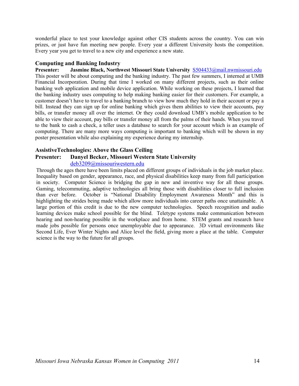wonderful place to test your knowledge against other CIS students across the country. You can win prizes, or just have fun meeting new people. Every year a different University hosts the competition. Every year you get to travel to a new city and experience a new state.

#### **Computing and Banking Industry**

**Presenter: Jasmine Black, Northwest Missouri State University** S504433@mail.nwmissouri.edu This poster will be about computing and the banking industry. The past few summers, I interned at UMB Financial Incorporation. During that time I worked on many different projects, such as their online banking web application and mobile device application. While working on these projects, I learned that the banking industry uses computing to help making banking easier for their customers. For example, a customer doesn't have to travel to a banking branch to view how much they hold in their account or pay a bill. Instead they can sign up for online banking which gives them abilities to view their accounts, pay bills, or transfer money all over the internet. Or they could download UMB's mobile application to be able to view their account, pay bills or transfer money all from the palms of their hands. When you travel to the bank to cash a check, a teller uses a database to search for your account which is an example of computing. There are many more ways computing is important to banking which will be shown in my poster presentation while also explaining my experience during my internship.

#### **AssistiveTechnologies: Above the Glass Ceiling**

#### **Presenter: Danyel Becker, Missouri Western State University**

#### deb3209@missouriwestern.edu

Through the ages there have been limits placed on different groups of individuals in the job market place. Inequality based on gender, appearance, race, and physical disabilities keep many from full participation in society. Computer Science is bridging the gap in new and inventive way for all these groups. Gaming, telecommuting, adaptive technologies all bring those with disabilities closer to full inclusion than ever before. October is "National Disability Employment Awareness Month" and this is highlighting the strides being made which allow more individuals into career paths once unattainable. A large portion of this credit is due to the new computer technologies. Speech recognition and audio learning devices make school possible for the blind. Teletype systems make communication between hearing and non-hearing possible in the workplace and from home. STEM grants and research have made jobs possible for persons once unemployable due to appearance. 3D virtual environments like Second Life, Ever Winter Nights and Alice level the field, giving more a place at the table. Computer science is the way to the future for all groups.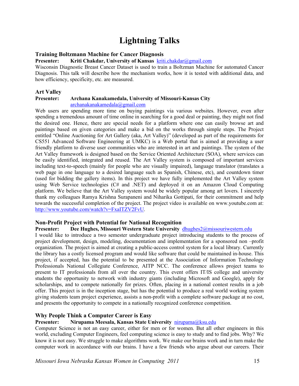# **Lightning Talks**

#### **Training Boltzmann Machine for Cancer Diagnosis**

**Presenter: Kriti Chakdar, University of Kansas** kriti.chakdar@gmail.com

Wisconsin Diagnostic Breast Cancer Dataset is used to train a Boltzman Machine for automated Cancer Diagnosis. This talk will describe how the mechanism works, how it is tested with additional data, and how efficiency, specificity, etc. are measured.

#### **Art Valley**

#### **Presenter: Archana Kanakamedala, University of Missouri-Kansas City** archanakanakamedala@gmail.com

Web users are spending more time on buying paintings via various websites. However, even after spending a tremendous amount of time online in searching for a good deal or painting, they might not find the desired one. Hence, there are special needs for a platform where one can easily browse art and paintings based on given categories and make a bid on the works through simple steps. The Project entitled "Online Auctioning for Art Gallery (aka, Art Valley)" (developed as part of the requirements for CS551 Advanced Software Engineering at UMKC) is a Web portal that is aimed at providing a user friendly platform to diverse user communities who are interested in art and paintings. The system of the Art Valley framework is designed based on the Service Oriented Architecture (SOA), where services can be easily identified, integrated and reused. The Art Valley system is composed of important services including text-to-speech (mainly for people who are visually impaired), language translator (translates a web page in one language to a desired language such as Spanish, Chinese, etc), and countdown timer (used for bidding the gallery items). In this project we have fully implemented the Art Valley system using Web Service technologies (C# and .NET) and deployed it on an Amazon Cloud Computing platform. We believe that the Art Valley system would be widely popular among art lovers. I sincerely thank my colleagues Ramya Krishna Surapaneni and Niharika Gottipati, for their commitment and help towards the successful completion of the project. The project video is available on www.youtube.com at: http://www.youtube.com/watch?v=FxaITZV2FvU.

#### **Non-Profit Project with Potential for National Recognition**

#### **Presenter: Dee Hughes, Missouri Western State University** dhughes2@missouriwestern.edu

I would like to introduce a two semester undergraduate project introducing students to the process of project development, design, modeling, documentation and implementation for a sponsored non –profit organization. The project is aimed at creating a public-access control system for a local library. Currently the library has a costly licensed program and would like software that could be maintained in-house. This project, if accepted, has the potential to be presented at the Association of Information Technology Professionals National Collegiate Conference, AITP NCC. The conference allows project teams to present to IT professionals from all over the country. This event offers IT/IS college and university students the opportunity to network with industry giants (including Microsoft and Google), apply for scholarships, and to compete nationally for prizes. Often, placing in a national contest results in a job offer. This project is in the inception stage, but has the potential to produce a real world working system giving students team project experience, assists a non-profit with a complete software package at no cost, and presents the opportunity to compete in a nationally recognized conference competition.

#### **Why People Think a Computer Career is Easy**

#### **Presenter: Nirupama Meesala, Kansas State University** nirupama@ksu.edu

Computer Science is not an easy career, either for men or for women. But all other engineers in this world, excluding Computer Engineers, feel computing science is easy to study and to find jobs. Why? We know it is not easy. We struggle to make algorithms work. We make our brains work and in turn make the computer work in accordance with our brains. I have a few friends who argue about our careers. Their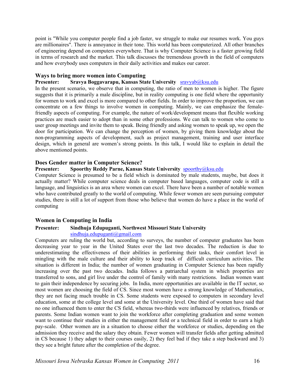point is "While you computer people find a job faster, we struggle to make our resumes work. You guys are millionaires". There is annoyance in their tone. This world has been computerized. All other branches of engineering depend on computers everywhere. That is why Computer Science is a faster growing field in terms of research and the market. This talk discusses the tremendous growth in the field of computers and how everybody uses computers in their daily activities and makes our career.

#### **Ways to bring more women into Computing**

#### **Presenter: Sravya Boggavarapu, Kansas State University** sravyab@ksu.edu

In the present scenario, we observe that in computing, the ratio of men to women is higher. The figure suggests that it is primarily a male discipline, but in reality computing is one field where the opportunity for women to work and excel is more compared to other fields. In order to improve the proportion, we can concentrate on a few things to involve women in computing. Mainly, we can emphasize the femalefriendly aspects of computing. For example, the nature of work/development means that flexible working practices are much easier to adopt than in some other professions. We can talk to women who come to user group meetings and invite them to speak. Being friendly and asking women to speak up, we open the door for participation. We can change the perception of women, by giving them knowledge about the non-programming aspects of development, such as project management, training and user interface design, which in general are women's strong points. In this talk, I would like to explain in detail the above mentioned points.

#### **Does Gender matter in Computer Science?**

#### Presenter: Spoorthy Reddy Parne, Kansas State University **spoorthy@ksu.edu**

Computer Science is presumed to be a field which is dominated by male students, maybe, but does it actually matter? While computer science deals in computer based languages, computer code is still a language, and linguistics is an area where women can excel. There have been a number of notable women who have contributed greatly to the world of computing. While fewer women are seen pursuing computer studies, there is still a lot of support from those who believe that women do have a place in the world of computing

#### **Women in Computing in India**

## **Presenter: Sindhuja Edupuganti, Northwest Missouri State University**

#### sindhuja.edupuganti@gmail.com

Computers are ruling the world but, according to surveys, the number of computer graduates has been decreasing year to year in the United States over the last two decades. The reduction is due to underestimating the effectiveness of their abilities in performing their tasks, their comfort level in mingling with the male culture and their ability to keep track of difficult curriculum activities. The situation is different in India; the number of women graduating in Computer Science has been rapidly increasing over the past two decades. India follows a patriarchal system in which properties are transferred to sons, and girl live under the control of family with many restrictions. Indian women want to gain their independence by securing jobs. In India, more opportunities are available in the IT sector, so most women are choosing the field of CS. Since most women have a strong knowledge of Mathematics, they are not facing much trouble in CS. Some students were exposed to computers in secondary level education, some at the college level and some at the University level. One third of women have said that no one influenced them to enter the CS field, whereas two-thirds were influenced by relatives, friends or parents. Some Indian women want to join the workforce after completing graduation and some women want to continue their studies in either the management field or a technical field in order to earn a high pay-scale. Other women are in a situation to choose either the workforce or studies, depending on the admission they receive and the salary they obtain. Fewer women will transfer fields after getting admitted in CS because 1) they adapt to their courses easily, 2) they feel bad if they take a step backward and 3) they see a bright future after the completion of the degree.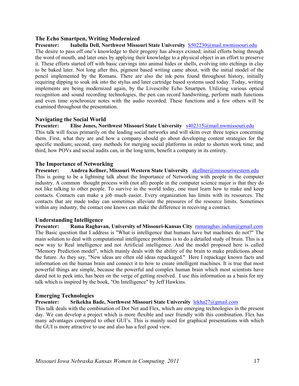#### **The Echo Smartpen, Writing Modernized**

#### **Presenter: Isabella Dell, Northwest Missouri State University** S502230@mail.nwmissouri.edu

The desire to pass off one's knowledge to their progeny has always existed; initial efforts being through the word of mouth, and later ones by applying their knowledge to a physical object in an effort to preserve it. These efforts started off with basic carvings into animal hides or shells, evolving into etchings in clay to be baked later. Not long after this, pigment based writing came about, with the initial model of the pencil implemented by the Romans. There are also the ink pens found throughout history, initially requiring dipping to soak ink into the stylus and later cartridge based systems used today. Today, writing implements are being modernized again, by the Livescribe Echo Smartpen. Utilizing various optical recognition and sound recording technologies, the pen can record handwriting, perform math functions and even time synchronize notes with the audio recorded. These functions and a few others will be examined throughout the presentation.

#### **Navigating the Social World**

#### **Presenter: Elise Jones, Northwest Missouri State University** s402315@mail.nwmissouri.edu

This talk will focus primarily on the leading social networks and will skim over three topics concerning them. First, what they are and how a company should go about developing content strategies for the specific medium; second, easy methods for merging social platforms in order to shorten work time; and third, how POVs and social audits can, in the long term, benefit a company in its entirety.

#### **The Importance of Networking**

**Presenter: Andrea Kellner, Missouri Western State University** akellner@missouriwestern.edu This is going to be a lightning talk about the Importance of Networking with people in the computer industry. A common thought process with (not all) people in the computer science major is that they do not like talking to other people. To survive in the world today, one must learn how to make and keep contacts. Contacts can make a job much easier. Every organization has limits with its resources. The contacts that are made today can sometimes alleviate the pressures of the resource limits. Sometimes within any industry, the contact one knows can make the difference in receiving a contract.

#### **Understanding Intelligence**

**Presenter: Rama Raghavan, University of Missouri-Kansas City** ramaraghav.indian@gmail.com The Basic question that I address is "What is intelligence that humans have but machines do not?" The main solution to deal with computational intelligence problems is to do a detailed study of brain. This is a new way to Real intelligence and not Artificial intelligence. And the model proposed here is called "Memory Prediction model", which mainly deals with the ability of the brain to make predictions about the future. As they say, "New ideas are often old ideas repackaged." Here I repackage known facts and information on the human brain and connect it to how to create intelligent machines. It is true that most powerful things are simple, because the powerful and complex human brain which most scientists have dared not to peek into, has been on the verge of getting resolved. I use this information as a basis for my talk which is inspired by the book, "On Intelligence" by Jeff Hawkins.

#### **Emerging Technologies**

**Presenter: Srikekha Bade, Northwest Missouri State University** lekha27@gmail.com

This talk deals with the combination of Dot Net and Flex, which are emerging technologies in the present day. We can develop a project which is more flexible and user friendly with this combination. Flex has many advantages compared to other GUI's. This is mainly used for graphical presentations with which the GUI is more attractive to use and also has a feel good view.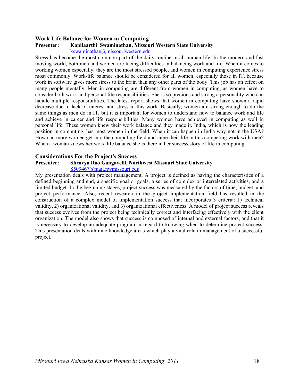#### **Work Life Balance for Women in Computing**

#### **Presenter: Kapilaarthi Swaminathan, Missouri Western State University**

kswaminathan@missouriwestern.edu

Stress has become the most common part of the daily routine in all human life. In the modern and fast moving world, both men and women are facing difficulties in balancing work and life. When it comes to working women especially, they are the most stressed people, and women in computing experience stress most commonly. Work-life balance should be considered for all women, especially those in IT, because work in software gives more stress to the brain than any other parts of the body. This job has an effect on many people mentally. Men in computing are different from women in computing, as women have to consider both work and personal life responsibilities. She is so precious and strong a personality who can handle multiple responsibilities. The latest report shows that women in computing have shown a rapid decrease due to lack of interest and stress in this work. Basically, women are strong enough to do the same things as men do in IT, but it is important for women to understand how to balance work and life and achieve in career and life responsibilities. Many women have achieved in computing as well in personal life. These women knew their work balance and they made it. India, which is now the leading position in computing, has most women in the field. When it can happen in India why not in the USA? How can more women get into the computing field and tame their life in this competing work with men? When a woman knows her work-life balance she is there in her success story of life in computing.

#### **Considerations For the Project's Success**

#### **Presenter: Shravya Rao Gangavelli, Northwest Missouri State University**

#### S509467@mail.nwmissouri.edu

My presentation deals with project management. A project is defined as having the characteristics of a defined beginning and end, a specific goal or goals, a series of complex or interrelated activities, and a limited budget. In the beginning stages, project success was measured by the factors of time, budget, and project performance. Also, recent research in the project implementation field has resulted in the construction of a complex model of implementation success that incorporates 3 criteria: 1) technical validity, 2) organizational validity, and 3) organizational effectiveness. A model of project success reveals that success evolves from the project being technically correct and interfacing effectively with the client organization. The model also shows that success is composed of internal and external factors, and that it is necessary to develop an adequate program in regard to knowing when to determine project success. This presentation deals with nine knowledge areas which play a vital role in management of a successful project.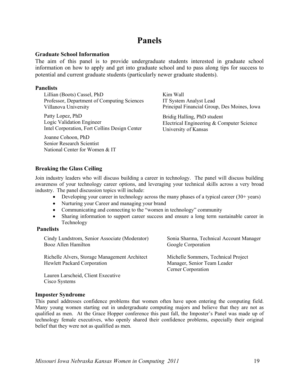# **Panels**

#### **Graduate School Information**

The aim of this panel is to provide undergraduate students interested in graduate school information on how to apply and get into graduate school and to pass along tips for success to potential and current graduate students (particularly newer graduate students).

#### **Panelists**

Lillian (Boots) Cassel, PhD Professor, Department of Computing Sciences Villanova University

Patty Lopez, PhD Logic Validation Engineer Intel Corporation, Fort Collins Design Center

Joanne Cohoon, PhD Senior Research Scientist National Center for Women & IT Kim Wall IT System Analyst Lead Principal Financial Group, Des Moines, Iowa

Bridig Halling, PhD student Electrical Engineering & Computer Science University of Kansas

#### **Breaking the Glass Ceiling**

Join industry leaders who will discuss building a career in technology. The panel will discuss building awareness of your technology career options, and leveraging your technical skills across a very broad industry. The panel discussion topics will include:

- Developing your career in technology across the many phases of a typical career  $(30+)$  years)
- Nurturing your Career and managing your brand
- Communicating and connecting to the "women in technology" community
- Sharing information to support career success and ensure a long term sustainable career in Technology

#### **Panelists**

Cindy Lundstrom, Senior Associate (Moderator) Booz Allen Hamilton

Richelle Alvers, Storage Management Architect Hewlett Packard Corporation

Lauren Larscheid, Client Executive Cisco Systems

Sonia Sharma, Technical Account Manager Google Corporation

Michelle Sommers, Technical Project Manager, Senior Team Leader Cerner Corporation

#### **Imposter Syndrome**

This panel addresses confidence problems that women often have upon entering the computing field. Many young women starting out in undergraduate computing majors and believe that they are not as qualified as men. At the Grace Hopper conference this past fall, the Imposter's Panel was made up of technology female executives, who openly shared their confidence problems, especially their original belief that they were not as qualified as men.